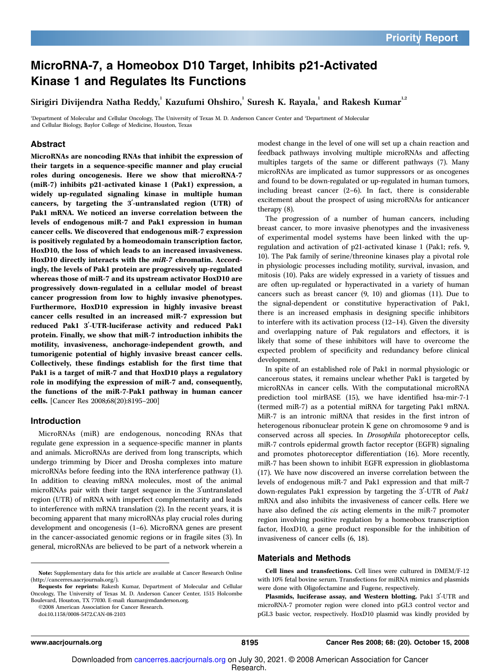### MicroRNA-7, a Homeobox D10 Target, Inhibits p21-Activated Kinase 1 and Regulates Its Functions

Sirigiri Divijendra Natha Reddy, $^{\rm l}$  Kazufumi Ohshiro, $^{\rm l}$  Suresh K. Rayala, $^{\rm l}$  and Rakesh Kumar $^{\rm l,2}$ 

<sup>1</sup>Department of Molecular and Cellular Oncology, The University of Texas M. D. Anderson Cancer Center and <sup>2</sup>Department of Molecular and Cellular Biology, Baylor College of Medicine, Houston, Texas

#### Abstract

MicroRNAs are noncoding RNAs that inhibit the expression of their targets in a sequence-specific manner and play crucial roles during oncogenesis. Here we show that microRNA-7 (miR-7) inhibits p21-activated kinase 1 (Pak1) expression, a widely up-regulated signaling kinase in multiple human cancers, by targeting the  $3'$ -untranslated region (UTR) of Pak1 mRNA. We noticed an inverse correlation between the levels of endogenous miR-7 and Pak1 expression in human cancer cells. We discovered that endogenous miR-7 expression is positively regulated by a homeodomain transcription factor, HoxD10, the loss of which leads to an increased invasiveness. HoxD10 directly interacts with the miR-7 chromatin. Accordingly, the levels of Pak1 protein are progressively up-regulated whereas those of miR-7 and its upstream activator HoxD10 are progressively down-regulated in a cellular model of breast cancer progression from low to highly invasive phenotypes. Furthermore, HoxD10 expression in highly invasive breast cancer cells resulted in an increased miR-7 expression but reduced Pak1 3'-UTR-luciferase activity and reduced Pak1 protein. Finally, we show that miR-7 introduction inhibits the motility, invasiveness, anchorage-independent growth, and tumorigenic potential of highly invasive breast cancer cells. Collectively, these findings establish for the first time that Pak1 is a target of miR-7 and that HoxD10 plays a regulatory role in modifying the expression of miR-7 and, consequently, the functions of the miR-7-Pak1 pathway in human cancer cells. [Cancer Res 2008;68(20):8195–200]

#### Introduction

MicroRNAs (miR) are endogenous, noncoding RNAs that regulate gene expression in a sequence-specific manner in plants and animals. MicroRNAs are derived from long transcripts, which undergo trimming by Dicer and Drosha complexes into mature microRNAs before feeding into the RNA interference pathway (1). In addition to cleaving mRNA molecules, most of the animal microRNAs pair with their target sequence in the 3'untranslated region (UTR) of mRNA with imperfect complementarity and leads to interference with mRNA translation (2). In the recent years, it is becoming apparent that many microRNAs play crucial roles during development and oncogenesis (1–6). MicroRNA genes are present in the cancer-associated genomic regions or in fragile sites (3). In general, microRNAs are believed to be part of a network wherein a

Requests for reprints: Rakesh Kumar, Department of Molecular and Cellular Oncology, The University of Texas M. D. Anderson Cancer Center, 1515 Holcombe Boulevard, Houston, TX 77030. E-mail: rkumar@mdanderson.org.

©2008 American Association for Cancer Research.

doi:10.1158/0008-5472.CAN-08-2103

modest change in the level of one will set up a chain reaction and feedback pathways involving multiple microRNAs and affecting multiples targets of the same or different pathways (7). Many microRNAs are implicated as tumor suppressors or as oncogenes and found to be down-regulated or up-regulated in human tumors, including breast cancer (2–6). In fact, there is considerable excitement about the prospect of using microRNAs for anticancer therapy (8).

The progression of a number of human cancers, including breast cancer, to more invasive phenotypes and the invasiveness of experimental model systems have been linked with the upregulation and activation of p21-activated kinase 1 (Pak1; refs. 9, 10). The Pak family of serine/threonine kinases play a pivotal role in physiologic processes including motility, survival, invasion, and mitosis (10). Paks are widely expressed in a variety of tissues and are often up-regulated or hyperactivated in a variety of human cancers such as breast cancer (9, 10) and gliomas (11). Due to the signal-dependent or constitutive hyperactivation of Pak1, there is an increased emphasis in designing specific inhibitors to interfere with its activation process (12–14). Given the diversity and overlapping nature of Pak regulators and effectors, it is likely that some of these inhibitors will have to overcome the expected problem of specificity and redundancy before clinical development.

In spite of an established role of Pak1 in normal physiologic or cancerous states, it remains unclear whether Pak1 is targeted by microRNAs in cancer cells. With the computational microRNA prediction tool mirBASE (15), we have identified hsa-mir-7-1 (termed miR-7) as a potential miRNA for targeting Pak1 mRNA. MiR-7 is an intronic miRNA that resides in the first intron of heterogenous ribonuclear protein K gene on chromosome 9 and is conserved across all species. In Drosophila photoreceptor cells, miR-7 controls epidermal growth factor receptor (EGFR) signaling and promotes photoreceptor differentiation (16). More recently, miR-7 has been shown to inhibit EGFR expression in glioblastoma (17). We have now discovered an inverse correlation between the levels of endogenous miR-7 and Pak1 expression and that miR-7 down-regulates Pak1 expression by targeting the 3'-UTR of Pak1 mRNA and also inhibits the invasiveness of cancer cells. Here we have also defined the *cis* acting elements in the miR-7 promoter region involving positive regulation by a homeobox transcription factor, HoxD10, a gene product responsible for the inhibition of invasiveness of cancer cells (6, 18).

#### Materials and Methods

Cell lines and transfections. Cell lines were cultured in DMEM/F-12 with 10% fetal bovine serum. Transfections for miRNA mimics and plasmids were done with Oligofectamine and Fugene, respectively.

Plasmids, luciferase assay, and Western blotting. Pak1 3'-UTR and microRNA-7 promoter region were cloned into pGL3 control vector and pGL3 basic vector, respectively. HoxD10 plasmid was kindly provided by

Note: Supplementary data for this article are available at Cancer Research Online (http://cancerres.aacrjournals.org/).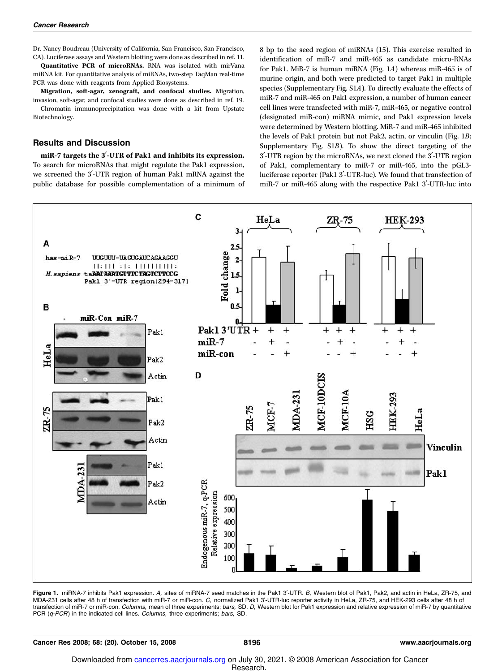Dr. Nancy Boudreau (University of California, San Francisco, San Francisco, CA). Luciferase assays and Western blotting were done as described in ref. 11.

Quantitative PCR of microRNAs. RNA was isolated with mirVana miRNA kit. For quantitative analysis of miRNAs, two-step TaqMan real-time PCR was done with reagents from Applied Biosystems.

Migration, soft-agar, xenograft, and confocal studies. Migration, invasion, soft-agar, and confocal studies were done as described in ref. 19.

Chromatin immunoprecipitation was done with a kit from Upstate Biotechnology.

#### Results and Discussion

miR-7 targets the 3'-UTR of Pak1 and inhibits its expression. To search for microRNAs that might regulate the Pak1 expression, we screened the 3'-UTR region of human Pak1 mRNA against the public database for possible complementation of a minimum of 8 bp to the seed region of miRNAs (15). This exercise resulted in identification of miR-7 and miR-465 as candidate micro-RNAs for Pak1. MiR-7 is human miRNA (Fig. 1A) whereas miR-465 is of murine origin, and both were predicted to target Pak1 in multiple species (Supplementary Fig. S1A). To directly evaluate the effects of miR-7 and miR-465 on Pak1 expression, a number of human cancer cell lines were transfected with miR-7, miR-465, or negative control (designated miR-con) miRNA mimic, and Pak1 expression levels were determined by Western blotting. MiR-7 and miR-465 inhibited the levels of Pak1 protein but not Pak2, actin, or vinculin (Fig. 1B; Supplementary Fig. S1B). To show the direct targeting of the 3'-UTR region by the microRNAs, we next cloned the 3'-UTR region of Pak1, complementary to miR-7 or miR-465, into the pGL3 luciferase reporter (Pak1 3'-UTR-luc). We found that transfection of miR-7 or miR-465 along with the respective Pak1 3'-UTR-luc into



Figure 1. miRNA-7 inhibits Pak1 expression. A, sites of miRNA-7 seed matches in the Pak1 3'-UTR. B, Western blot of Pak1, Pak2, and actin in HeLa, ZR-75, and MDA-231 cells after 48 h of transfection with miR-7 or miR-con. C, normalized Pak1 3'-UTR-luc reporter activity in HeLa, ZR-75, and HEK-293 cells after 48 h of transfection of miR-7 or miR-con. Columns, mean of three experiments; bars, SD. D, Western blot for Pak1 expression and relative expression of miR-7 by quantitative PCR (q-PCR) in the indicated cell lines. Columns, three experiments; bars, SD.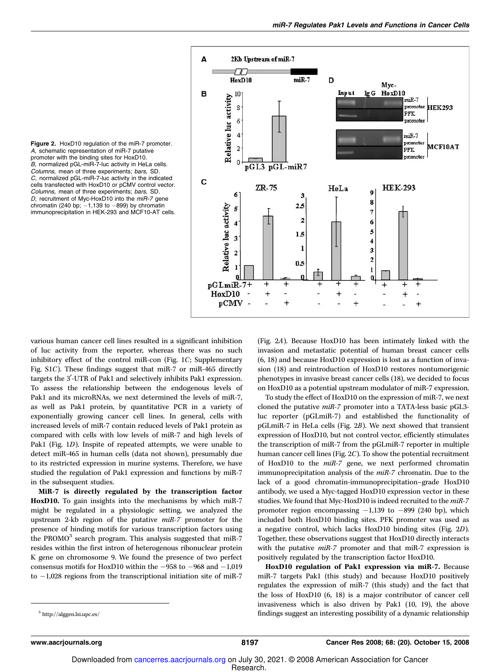Figure 2. HoxD10 regulation of the miR-7 promoter. A, schematic representation of miR-7 putative promoter with the binding sites for HoxD10. B, normalized pGL-miR-7-luc activity in HeLa cells. Columns, mean of three experiments; bars, SD. C, normalized pGL-miR-7-luc activity in the indicated cells transfected with HoxD10 or pCMV control vector. Columns, mean of three experiments; bars, SD. D, recruitment of Myc-HoxD10 into the miR-7 gene chromatin (240 bp;  $-1,139$  to  $-899$ ) by chromatin immunoprecipitation in HEK-293 and MCF10-AT cells.



various human cancer cell lines resulted in a significant inhibition of luc activity from the reporter, whereas there was no such inhibitory effect of the control miR-con (Fig. 1C; Supplementary Fig. S1C). These findings suggest that miR-7 or miR-465 directly targets the 3'-UTR of Pak1 and selectively inhibits Pak1 expression. To assess the relationship between the endogenous levels of Pak1 and its microRNAs, we next determined the levels of miR-7, as well as Pak1 protein, by quantitative PCR in a variety of exponentially growing cancer cell lines. In general, cells with increased levels of miR-7 contain reduced levels of Pak1 protein as compared with cells with low levels of miR-7 and high levels of Pak1 (Fig. 1D). Inspite of repeated attempts, we were unable to detect miR-465 in human cells (data not shown), presumably due to its restricted expression in murine systems. Therefore, we have studied the regulation of Pak1 expression and functions by miR-7 in the subsequent studies.

MiR-7 is directly regulated by the transcription factor HoxD10. To gain insights into the mechanisms by which miR-7 might be regulated in a physiologic setting, we analyzed the upstream 2-kb region of the putative miR-7 promoter for the presence of binding motifs for various transcription factors using the PROMO<sup>3</sup> search program. This analysis suggested that miR-7 resides within the first intron of heterogenous ribonuclear protein K gene on chromosome 9. We found the presence of two perfect consensus motifs for HoxD10 within the  $-958$  to  $-968$  and  $-1,019$ to  $-1,028$  regions from the transcriptional initiation site of miR-7 (Fig. 2A). Because HoxD10 has been intimately linked with the invasion and metastatic potential of human breast cancer cells (6, 18) and because HoxD10 expression is lost as a function of invasion (18) and reintroduction of HoxD10 restores nontumorigenic phenotypes in invasive breast cancer cells (18), we decided to focus on HoxD10 as a potential upstream modulator of miR-7 expression.

To study the effect of HoxD10 on the expression of miR-7, we next cloned the putative miR-7 promoter into a TATA-less basic pGL3luc reporter (pGLmiR-7) and established the functionality of pGLmiR-7 in HeLa cells (Fig. 2B). We next showed that transient expression of HoxD10, but not control vector, efficiently stimulates the transcription of miR-7 from the pGLmiR-7 reporter in multiple human cancer cell lines (Fig. 2C). To show the potential recruitment of HoxD10 to the miR-7 gene, we next performed chromatin immunoprecipitation analysis of the miR-7 chromatin. Due to the lack of a good chromatin-immunoprecipitation–grade HoxD10 antibody, we used a Myc-tagged HoxD10 expression vector in these studies. We found that Myc-HoxD10 is indeed recruited to the miR-7 promoter region encompassing  $-1,139$  to  $-899$  (240 bp), which included both HoxD10 binding sites. PFK promoter was used as a negative control, which lacks HoxD10 binding sites (Fig. 2D). Together, these observations suggest that HoxD10 directly interacts with the putative *miR-7* promoter and that miR-7 expression is positively regulated by the transcription factor HoxD10.

HoxD10 regulation of Pak1 expression via miR-7. Because miR-7 targets Pak1 (this study) and because HoxD10 positively regulates the expression of miR-7 (this study) and the fact that the loss of HoxD10 (6, 18) is a major contributor of cancer cell invasiveness which is also driven by Pak1 (10, 19), the above findings suggest an interesting possibility of a dynamic relationship <sup>3</sup>

http://alggen.lsi.upc.es/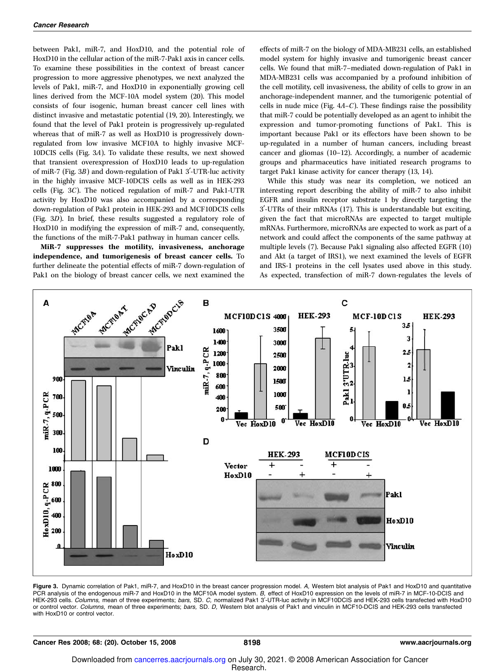between Pak1, miR-7, and HoxD10, and the potential role of HoxD10 in the cellular action of the miR-7-Pak1 axis in cancer cells. To examine these possibilities in the context of breast cancer progression to more aggressive phenotypes, we next analyzed the levels of Pak1, miR-7, and HoxD10 in exponentially growing cell lines derived from the MCF-10A model system (20). This model consists of four isogenic, human breast cancer cell lines with distinct invasive and metastatic potential (19, 20). Interestingly, we found that the level of Pak1 protein is progressively up-regulated whereas that of miR-7 as well as HoxD10 is progressively downregulated from low invasive MCF10A to highly invasive MCF-10DCIS cells (Fig. 3A). To validate these results, we next showed that transient overexpression of HoxD10 leads to up-regulation of miR-7 (Fig.  $3B$ ) and down-regulation of Pak1 3'-UTR-luc activity in the highly invasive MCF-10DCIS cells as well as in HEK-293 cells (Fig. 3C). The noticed regulation of miR-7 and Pak1-UTR activity by HoxD10 was also accompanied by a corresponding down-regulation of Pak1 protein in HEK-293 and MCF10DCIS cells (Fig. 3D). In brief, these results suggested a regulatory role of HoxD10 in modifying the expression of miR-7 and, consequently, the functions of the miR-7-Pak1 pathway in human cancer cells.

MiR-7 suppresses the motility, invasiveness, anchorage independence, and tumorigenesis of breast cancer cells. To further delineate the potential effects of miR-7 down-regulation of Pak1 on the biology of breast cancer cells, we next examined the effects of miR-7 on the biology of MDA-MB231 cells, an established model system for highly invasive and tumorigenic breast cancer cells. We found that miR-7–mediated down-regulation of Pak1 in MDA-MB231 cells was accompanied by a profound inhibition of the cell motility, cell invasiveness, the ability of cells to grow in an anchorage-independent manner, and the tumorigenic potential of cells in nude mice (Fig. 4A–C). These findings raise the possibility that miR-7 could be potentially developed as an agent to inhibit the expression and tumor-promoting functions of Pak1. This is important because Pak1 or its effectors have been shown to be up-regulated in a number of human cancers, including breast cancer and gliomas (10–12). Accordingly, a number of academic groups and pharmaceutics have initiated research programs to target Pak1 kinase activity for cancer therapy (13, 14).

While this study was near its completion, we noticed an interesting report describing the ability of miR-7 to also inhibit EGFR and insulin receptor substrate 1 by directly targeting the 3¶-UTRs of their mRNAs (17). This is understandable but exciting, given the fact that microRNAs are expected to target multiple mRNAs. Furthermore, microRNAs are expected to work as part of a network and could affect the components of the same pathway at multiple levels (7). Because Pak1 signaling also affected EGFR (10) and Akt (a target of IRS1), we next examined the levels of EGFR and IRS-1 proteins in the cell lysates used above in this study. As expected, transfection of miR-7 down-regulates the levels of



Figure 3. Dynamic correlation of Pak1, miR-7, and HoxD10 in the breast cancer progression model. A, Western blot analysis of Pak1 and HoxD10 and quantitative PCR analysis of the endogenous miR-7 and HoxD10 in the MCF10A model system. B, effect of HoxD10 expression on the levels of miR-7 in MCF-10-DCIS and HEK-293 cells. Columns, mean of three experiments; bars, SD. C, normalized Pak1 3'-UTR-luc activity in MCF10DCIS and HEK-293 cells transfected with HoxD10 or control vector. Columns, mean of three experiments; bars, SD. D, Western blot analysis of Pak1 and vinculin in MCF10-DCIS and HEK-293 cells transfected with HoxD10 or control vector.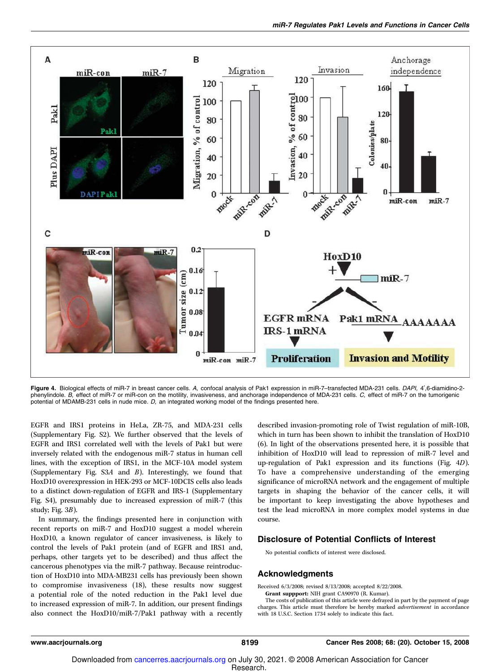

Figure 4. Biological effects of miR-7 in breast cancer cells. A, confocal analysis of Pak1 expression in miR-7-transfected MDA-231 cells. DAPI, 4',6-diamidino-2phenylindole. B, effect of miR-7 or miR-con on the motility, invasiveness, and anchorage independence of MDA-231 cells. C, effect of miR-7 on the tumorigenic potential of MDAMB-231 cells in nude mice. D, an integrated working model of the findings presented here.

EGFR and IRS1 proteins in HeLa, ZR-75, and MDA-231 cells (Supplementary Fig. S2). We further observed that the levels of EGFR and IRS1 correlated well with the levels of Pak1 but were inversely related with the endogenous miR-7 status in human cell lines, with the exception of IRS1, in the MCF-10A model system (Supplementary Fig. S3A and B). Interestingly, we found that HoxD10 overexpression in HEK-293 or MCF-10DCIS cells also leads to a distinct down-regulation of EGFR and IRS-1 (Supplementary Fig. S4), presumably due to increased expression of miR-7 (this study; Fig. 3B).

In summary, the findings presented here in conjunction with recent reports on miR-7 and HoxD10 suggest a model wherein HoxD10, a known regulator of cancer invasiveness, is likely to control the levels of Pak1 protein (and of EGFR and IRS1 and, perhaps, other targets yet to be described) and thus affect the cancerous phenotypes via the miR-7 pathway. Because reintroduction of HoxD10 into MDA-MB231 cells has previously been shown to compromise invasiveness (18), these results now suggest a potential role of the noted reduction in the Pak1 level due to increased expression of miR-7. In addition, our present findings also connect the HoxD10/miR-7/Pak1 pathway with a recently described invasion-promoting role of Twist regulation of miR-10B, which in turn has been shown to inhibit the translation of HoxD10 (6). In light of the observations presented here, it is possible that inhibition of HoxD10 will lead to repression of miR-7 level and up-regulation of Pak1 expression and its functions (Fig. 4D). To have a comprehensive understanding of the emerging significance of microRNA network and the engagement of multiple targets in shaping the behavior of the cancer cells, it will be important to keep investigating the above hypotheses and test the lead microRNA in more complex model systems in due course.

#### Disclosure of Potential Conflicts of Interest

No potential conflicts of interest were disclosed.

#### Acknowledgments

Received 6/3/2008; revised 8/13/2008; accepted 8/22/2008.

Grant suppport: NIH grant CA90970 (R. Kumar).

The costs of publication of this article were defrayed in part by the payment of page charges. This article must therefore be hereby marked advertisement in accordance with 18 U.S.C. Section 1734 solely to indicate this fact.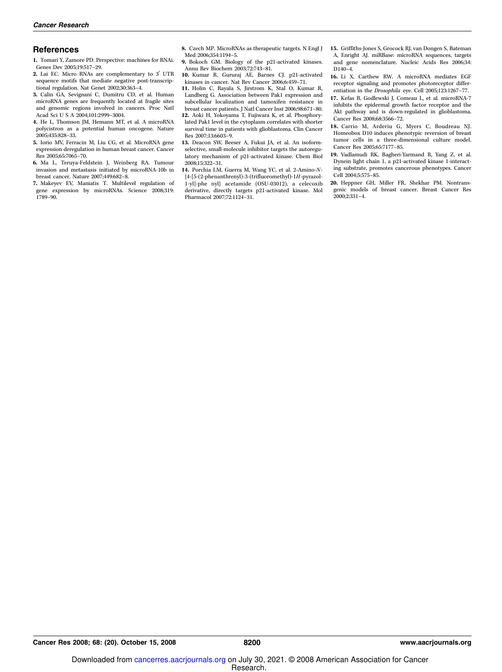#### **References**

1. Tomari Y, Zamore PD. Perspective: machines for RNAi. Genes Dev 2005;19:517–29.

- 2. Lai EC. Micro RNAs are complementary to 3' UTR sequence motifs that mediate negative post-transcriptional regulation. Nat Genet 2002;30:363–4.
- 3. Calin GA, Sevignani C, Dumitru CD, et al. Human microRNA genes are frequently located at fragile sites and genomic regions involved in cancers. Proc Natl Acad Sci U S A 2004;101:2999–3004.
- 4. He L, Thomson JM, Hemann MT, et al. A microRNA polycistron as a potential human oncogene. Nature 2005;435:828–33.
- 5. Iorio MV, Ferracin M, Liu CG, et al. MicroRNA gene expression deregulation in human breast cancer. Cancer Res 2005;65:7065–70.
- 6. Ma L, Teruya-Feldstein J, Weinberg RA. Tumour invasion and metastasis initiated by microRNA-10b in breast cancer. Nature 2007;449:682–8.
- 7. Makeyev EV, Maniatis T. Multilevel regulation of gene expression by microRNAs. Science 2008;319: 1789–90.

8. Czech MP. MicroRNAs as therapeutic targets. N Engl J Med 2006;354:1194–5.

- 9. Bokoch GM. Biology of the p21-activated kinases. Annu Rev Biochem 2003;72:743–81.
- 10. Kumar R, Gururaj AE, Barnes CJ. p21-activated kinases in cancer. Nat Rev Cancer 2006;6:459–71.
- 11. Holm C, Rayala S, Jirstrom K, Stal O, Kumar R, Landberg G. Association between Pak1 expression and subcellular localization and tamoxifen resistance in breast cancer patients. J Natl Cancer Inst 2006;98:671–80. 12. Aoki H, Yokoyama T, Fujiwara K, et al. Phosphorylated Pak1 level in the cytoplasm correlates with shorter
- survival time in patients with glioblastoma. Clin Cancer Res 2007;13:6603–9. 13. Deacon SW, Beeser A, Fukui JA, et al. An isoform-
- selective, small-molecule inhibitor targets the autoregulatory mechanism of p21-activated kinase. Chem Biol 2008;15:322–31.
- 14. Porchia LM, Guerra M, Wang YC, et al. 2-Amino-N- {4-[5-(2-phenanthrenyl)-3-(trifluoromethyl)-1H-pyrazol-1-yl]-phe nyl} acetamide (OSU-03012), a celecoxib derivative, directly targets p21-activated kinase. Mol Pharmacol 2007;72:1124–31.
- 15. Griffiths-Jones S, Grocock RJ, van Dongen S, Bateman A, Enright AJ. miRBase: microRNA sequences, targets and gene nomenclature. Nucleic Acids Res 2006;34: D140–4.
- 16. Li X, Carthew RW. A microRNA mediates EGF receptor signaling and promotes photoreceptor differentiation in the Drosophila eye. Cell 2005;123:1267-77.
- 17. Kefas B, Godlewski J, Comeau L, et al. microRNA-7 inhibits the epidermal growth factor receptor and the Akt pathway and is down-regulated in glioblastoma. Cancer Res 2008;68:3566–72.
- 18. Carrio M, Arderiu G, Myers C, Boudreau NJ. Homeobox D10 induces phenotypic reversion of breast tumor cells in a three-dimensional culture model. Cancer Res 2005;65:7177–85.
- 19. Vadlamudi RK, Bagheri-Yarmand R, Yang Z, et al. Dynein light chain 1, a p21-activated kinase 1-interacting substrate, promotes cancerous phenotypes. Cancer Cell 2004;5:575–85.
- 20. Heppner GH, Miller FR, Shekhar PM. Nontransgenic models of breast cancer. Breast Cancer Res 2000;2:331–4.